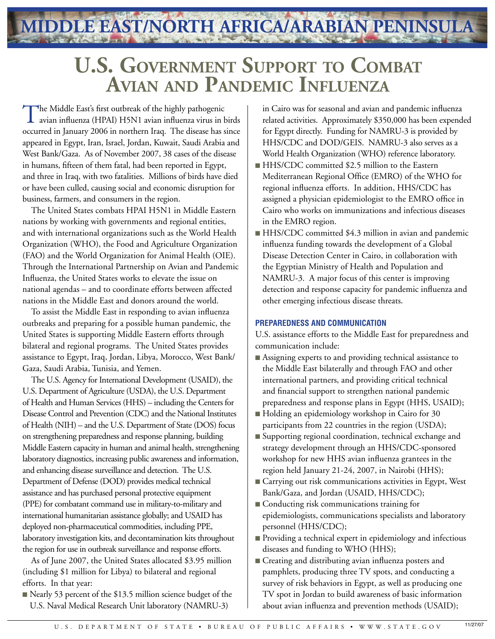**MIDDLE EAST/NORTH AFRICA/ARABIAN PENINSULA**

## **U.S. Government Support to Combat Avian and Pandemic Influenza**

The Middle East's first outbreak of the highly pathogenic<br>
avian influenza (HPAI) H5N1 avian influenza virus in birds occurred in January 2006 in northern Iraq. The disease has since appeared in Egypt, Iran, Israel, Jordan, Kuwait, Saudi Arabia and West Bank/Gaza. As of November 2007, 38 cases of the disease in humans, fifteen of them fatal, had been reported in Egypt, and three in Iraq, with two fatalities. Millions of birds have died or have been culled, causing social and economic disruption for business, farmers, and consumers in the region.

The United States combats HPAI H5N1 in Middle Eastern nations by working with governments and regional entities, and with international organizations such as the World Health Organization (WHO), the Food and Agriculture Organization (FAO) and the World Organization for Animal Health (OIE). Through the International Partnership on Avian and Pandemic Influenza, the United States works to elevate the issue on national agendas – and to coordinate efforts between affected nations in the Middle East and donors around the world.

To assist the Middle East in responding to avian influenza outbreaks and preparing for a possible human pandemic, the United States is supporting Middle Eastern efforts through bilateral and regional programs. The United States provides assistance to Egypt, Iraq, Jordan, Libya, Morocco, West Bank/ Gaza, Saudi Arabia, Tunisia, and Yemen.

The U.S. Agency for International Development (USAID), the U.S. Department of Agriculture (USDA), the U.S. Department of Health and Human Services (HHS) – including the Centers for Disease Control and Prevention (CDC) and the National Institutes of Health (NIH) – and the U.S. Department of State (DOS) focus on strengthening preparedness and response planning, building Middle Eastern capacity in human and animal health, strengthening laboratory diagnostics, increasing public awareness and information, and enhancing disease surveillance and detection. The U.S. Department of Defense (DOD) provides medical technical assistance and has purchased personal protective equipment (PPE) for combatant command use in military-to-military and international humanitarian assistance globally; and USAID has deployed non-pharmaceutical commodities, including PPE, laboratory investigation kits, and decontamination kits throughout the region for use in outbreak surveillance and response efforts.

As of June 2007, the United States allocated \$3.95 million (including \$1 million for Libya) to bilateral and regional efforts. In that year:

■ Nearly 53 percent of the \$13.5 million science budget of the U.S. Naval Medical Research Unit laboratory (NAMRU-3)

in Cairo was for seasonal and avian and pandemic influenza related activities. Approximately \$350,000 has been expended for Egypt directly. Funding for NAMRU-3 is provided by HHS/CDC and DOD/GEIS. NAMRU-3 also serves as a World Health Organization (WHO) reference laboratory.

- HHS/CDC committed \$2.5 million to the Eastern Mediterranean Regional Office (EMRO) of the WHO for regional influenza efforts. In addition, HHS/CDC has assigned a physician epidemiologist to the EMRO office in Cairo who works on immunizations and infectious diseases in the EMRO region.
- HHS/CDC committed \$4.3 million in avian and pandemic influenza funding towards the development of a Global Disease Detection Center in Cairo, in collaboration with the Egyptian Ministry of Health and Population and NAMRU-3. A major focus of this center is improving detection and response capacity for pandemic influenza and other emerging infectious disease threats.

## **PREPAREDNESS AND COMMUNICATION**

U.S. assistance efforts to the Middle East for preparedness and communication include:

- Assigning experts to and providing technical assistance to the Middle East bilaterally and through FAO and other international partners, and providing critical technical and financial support to strengthen national pandemic preparedness and response plans in Egypt (HHS, USAID);
- Holding an epidemiology workshop in Cairo for 30 participants from 22 countries in the region (USDA);
- Supporting regional coordination, technical exchange and strategy development through an HHS/CDC-sponsored workshop for new HHS avian influenza grantees in the region held January 21-24, 2007, in Nairobi (HHS);
- Carrying out risk communications activities in Egypt, West Bank/Gaza, and Jordan (USAID, HHS/CDC);
- Conducting risk communications training for epidemiologists, communications specialists and laboratory personnel (HHS/CDC);
- Providing a technical expert in epidemiology and infectious diseases and funding to WHO (HHS);
- Creating and distributing avian influenza posters and pamphlets, producing three TV spots, and conducting a survey of risk behaviors in Egypt, as well as producing one TV spot in Jordan to build awareness of basic information about avian influenza and prevention methods (USAID);